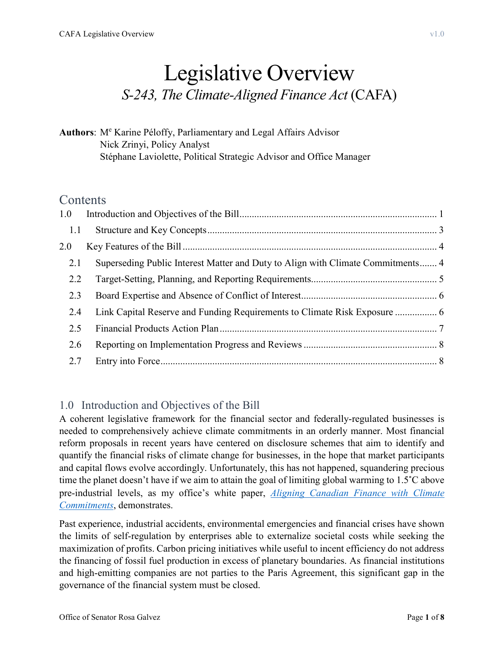# Legislative Overview *S-243, The Climate-Aligned Finance Act* (CAFA)

#### **Authors**: M<sup>e</sup> Karine Péloffy, Parliamentary and Legal Affairs Advisor Nick Zrinyi, Policy Analyst Stéphane Laviolette, Political Strategic Advisor and Office Manager

# **Contents**

| 1.0 |                                                                                 |  |
|-----|---------------------------------------------------------------------------------|--|
| 1.1 |                                                                                 |  |
| 2.0 |                                                                                 |  |
| 2.1 | Superseding Public Interest Matter and Duty to Align with Climate Commitments 4 |  |
| 2.2 |                                                                                 |  |
| 2.3 |                                                                                 |  |
| 2.4 | Link Capital Reserve and Funding Requirements to Climate Risk Exposure  6       |  |
| 2.5 |                                                                                 |  |
| 2.6 |                                                                                 |  |
| 2.7 |                                                                                 |  |

## <span id="page-0-0"></span>1.0 Introduction and Objectives of the Bill

A coherent legislative framework for the financial sector and federally-regulated businesses is needed to comprehensively achieve climate commitments in an orderly manner. Most financial reform proposals in recent years have centered on disclosure schemes that aim to identify and quantify the financial risks of climate change for businesses, in the hope that market participants and capital flows evolve accordingly. Unfortunately, this has not happened, squandering precious time the planet doesn't have if we aim to attain the goal of limiting global warming to 1.5˚C above pre-industrial levels, as my office's white paper, *[Aligning Canadian Finance with Climate](https://rosagalvez.ca/en/initiatives/aligning-canadian-finance-with-climate-commitments/)  [Commitments](https://rosagalvez.ca/en/initiatives/aligning-canadian-finance-with-climate-commitments/)*, demonstrates.

Past experience, industrial accidents, environmental emergencies and financial crises have shown the limits of self-regulation by enterprises able to externalize societal costs while seeking the maximization of profits. Carbon pricing initiatives while useful to incent efficiency do not address the financing of fossil fuel production in excess of planetary boundaries. As financial institutions and high-emitting companies are not parties to the Paris Agreement, this significant gap in the governance of the financial system must be closed.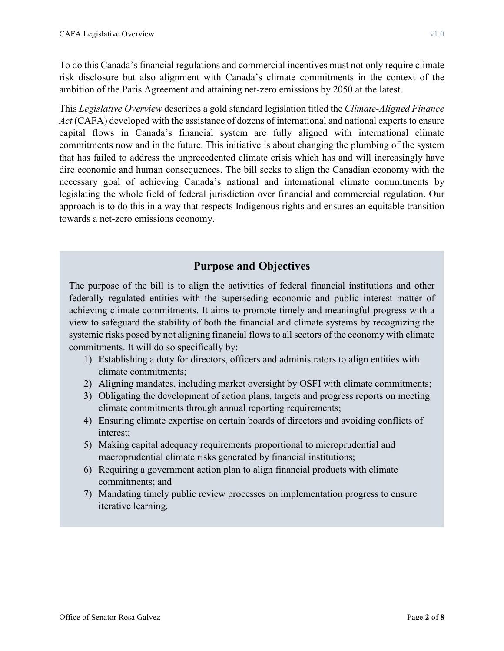To do this Canada's financial regulations and commercial incentives must not only require climate risk disclosure but also alignment with Canada's climate commitments in the context of the ambition of the Paris Agreement and attaining net-zero emissions by 2050 at the latest.

This *Legislative Overview* describes a gold standard legislation titled the *Climate-Aligned Finance Act* (CAFA) developed with the assistance of dozens of international and national experts to ensure capital flows in Canada's financial system are fully aligned with international climate commitments now and in the future. This initiative is about changing the plumbing of the system that has failed to address the unprecedented climate crisis which has and will increasingly have dire economic and human consequences. The bill seeks to align the Canadian economy with the necessary goal of achieving Canada's national and international climate commitments by legislating the whole field of federal jurisdiction over financial and commercial regulation. Our approach is to do this in a way that respects Indigenous rights and ensures an equitable transition towards a net-zero emissions economy.

## **Purpose and Objectives**

The purpose of the bill is to align the activities of federal financial institutions and other federally regulated entities with the superseding economic and public interest matter of achieving climate commitments. It aims to promote timely and meaningful progress with a view to safeguard the stability of both the financial and climate systems by recognizing the systemic risks posed by not aligning financial flows to all sectors of the economy with climate commitments. It will do so specifically by:

- 1) Establishing a duty for directors, officers and administrators to align entities with climate commitments;
- 2) Aligning mandates, including market oversight by OSFI with climate commitments;
- 3) Obligating the development of action plans, targets and progress reports on meeting climate commitments through annual reporting requirements;
- 4) Ensuring climate expertise on certain boards of directors and avoiding conflicts of interest;
- 5) Making capital adequacy requirements proportional to microprudential and macroprudential climate risks generated by financial institutions;
- 6) Requiring a government action plan to align financial products with climate commitments; and
- 7) Mandating timely public review processes on implementation progress to ensure iterative learning.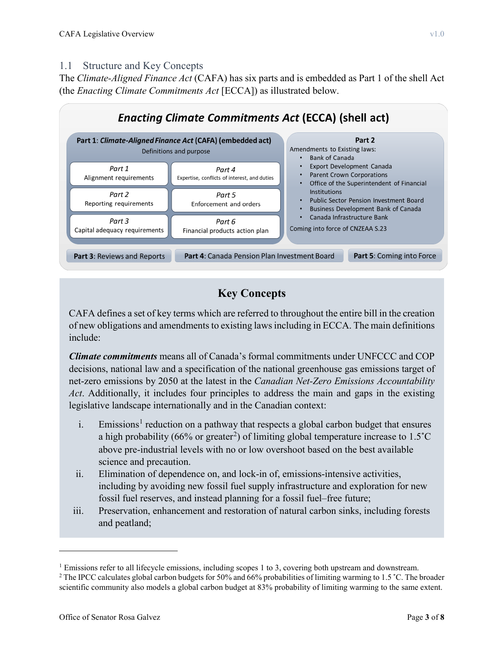#### <span id="page-2-0"></span>1.1 Structure and Key Concepts

The *Climate-Aligned Finance Act* (CAFA) has six parts and is embedded as Part 1 of the shell Act (the *Enacting Climate Commitments Act* [ECCA]) as illustrated below.



# **Key Concepts**

CAFA defines a set of key terms which are referred to throughout the entire bill in the creation of new obligations and amendments to existing lawsincluding in ECCA. The main definitions include:

*Climate commitments* means all of Canada's formal commitments under UNFCCC and COP decisions, national law and a specification of the national greenhouse gas emissions target of net-zero emissions by 2050 at the latest in the *Canadian Net-Zero Emissions Accountability Act*. Additionally, it includes four principles to address the main and gaps in the existing legislative landscape internationally and in the Canadian context:

- i. Emissions<sup>[1](#page-2-1)</sup> reduction on a pathway that respects a global carbon budget that ensures a high probability (66% or greater<sup>[2](#page-2-2)</sup>) of limiting global temperature increase to 1.5°C above pre-industrial levels with no or low overshoot based on the best available science and precaution.
- ii. Elimination of dependence on, and lock-in of, emissions-intensive activities, including by avoiding new fossil fuel supply infrastructure and exploration for new fossil fuel reserves, and instead planning for a fossil fuel–free future;
- iii. Preservation, enhancement and restoration of natural carbon sinks, including forests and peatland;

 $\overline{a}$ 

<span id="page-2-1"></span> $1$  Emissions refer to all lifecycle emissions, including scopes 1 to 3, covering both upstream and downstream.

<span id="page-2-2"></span><sup>&</sup>lt;sup>2</sup> The IPCC calculates global carbon budgets for 50% and 66% probabilities of limiting warming to 1.5 °C. The broader scientific community also models a global carbon budget at 83% probability of limiting warming to the same extent.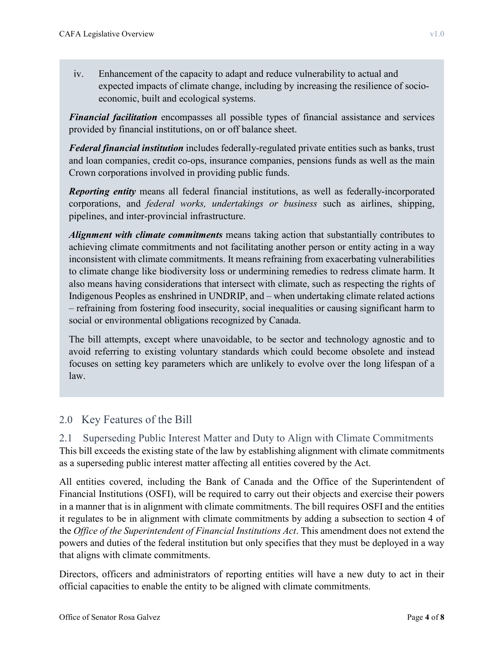iv. Enhancement of the capacity to adapt and reduce vulnerability to actual and expected impacts of climate change, including by increasing the resilience of socioeconomic, built and ecological systems.

*Financial facilitation* encompasses all possible types of financial assistance and services provided by financial institutions, on or off balance sheet.

*Federal financial institution* includes federally-regulated private entities such as banks, trust and loan companies, credit co-ops, insurance companies, pensions funds as well as the main Crown corporations involved in providing public funds.

*Reporting entity* means all federal financial institutions, as well as federally-incorporated corporations, and *federal works, undertakings or business* such as airlines, shipping, pipelines, and inter-provincial infrastructure.

*Alignment with climate commitments* means taking action that substantially contributes to achieving climate commitments and not facilitating another person or entity acting in a way inconsistent with climate commitments. It means refraining from exacerbating vulnerabilities to climate change like biodiversity loss or undermining remedies to redress climate harm. It also means having considerations that intersect with climate, such as respecting the rights of Indigenous Peoples as enshrined in UNDRIP, and – when undertaking climate related actions – refraining from fostering food insecurity, social inequalities or causing significant harm to social or environmental obligations recognized by Canada.

The bill attempts, except where unavoidable, to be sector and technology agnostic and to avoid referring to existing voluntary standards which could become obsolete and instead focuses on setting key parameters which are unlikely to evolve over the long lifespan of a law.

## <span id="page-3-0"></span>2.0 Key Features of the Bill

<span id="page-3-1"></span>2.1 Superseding Public Interest Matter and Duty to Align with Climate Commitments This bill exceeds the existing state of the law by establishing alignment with climate commitments as a superseding public interest matter affecting all entities covered by the Act.

All entities covered, including the Bank of Canada and the Office of the Superintendent of Financial Institutions (OSFI), will be required to carry out their objects and exercise their powers in a manner that is in alignment with climate commitments. The bill requires OSFI and the entities it regulates to be in alignment with climate commitments by adding a subsection to section 4 of the *Office of the Superintendent of Financial Institutions Act*. This amendment does not extend the powers and duties of the federal institution but only specifies that they must be deployed in a way that aligns with climate commitments.

Directors, officers and administrators of reporting entities will have a new duty to act in their official capacities to enable the entity to be aligned with climate commitments.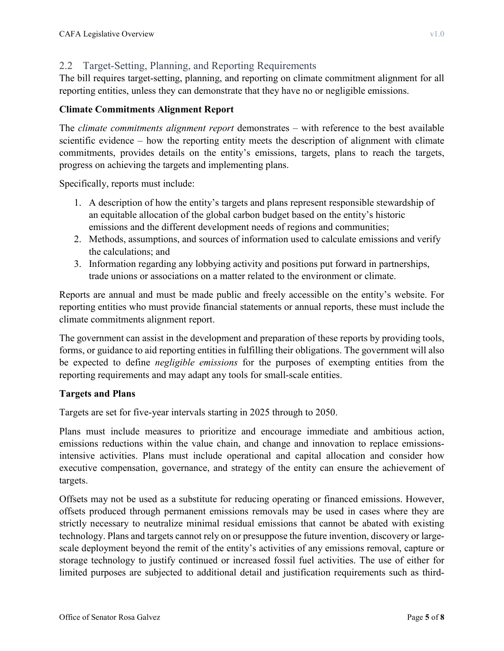#### <span id="page-4-0"></span>2.2 Target-Setting, Planning, and Reporting Requirements

The bill requires target-setting, planning, and reporting on climate commitment alignment for all reporting entities, unless they can demonstrate that they have no or negligible emissions.

#### **Climate Commitments Alignment Report**

The *climate commitments alignment report* demonstrates – with reference to the best available scientific evidence – how the reporting entity meets the description of alignment with climate commitments, provides details on the entity's emissions, targets, plans to reach the targets, progress on achieving the targets and implementing plans.

Specifically, reports must include:

- 1. A description of how the entity's targets and plans represent responsible stewardship of an equitable allocation of the global carbon budget based on the entity's historic emissions and the different development needs of regions and communities;
- 2. Methods, assumptions, and sources of information used to calculate emissions and verify the calculations; and
- 3. Information regarding any lobbying activity and positions put forward in partnerships, trade unions or associations on a matter related to the environment or climate.

Reports are annual and must be made public and freely accessible on the entity's website. For reporting entities who must provide financial statements or annual reports, these must include the climate commitments alignment report.

The government can assist in the development and preparation of these reports by providing tools, forms, or guidance to aid reporting entities in fulfilling their obligations. The government will also be expected to define *negligible emissions* for the purposes of exempting entities from the reporting requirements and may adapt any tools for small-scale entities.

#### **Targets and Plans**

Targets are set for five-year intervals starting in 2025 through to 2050.

Plans must include measures to prioritize and encourage immediate and ambitious action, emissions reductions within the value chain, and change and innovation to replace emissionsintensive activities. Plans must include operational and capital allocation and consider how executive compensation, governance, and strategy of the entity can ensure the achievement of targets.

Offsets may not be used as a substitute for reducing operating or financed emissions. However, offsets produced through permanent emissions removals may be used in cases where they are strictly necessary to neutralize minimal residual emissions that cannot be abated with existing technology. Plans and targets cannot rely on or presuppose the future invention, discovery or largescale deployment beyond the remit of the entity's activities of any emissions removal, capture or storage technology to justify continued or increased fossil fuel activities. The use of either for limited purposes are subjected to additional detail and justification requirements such as third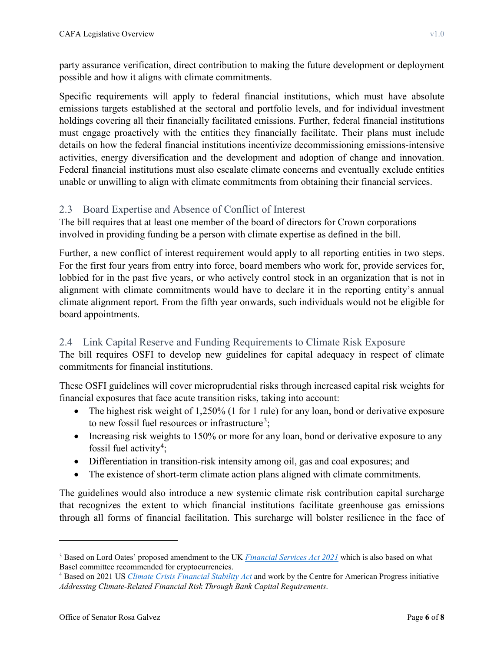party assurance verification, direct contribution to making the future development or deployment possible and how it aligns with climate commitments.

Specific requirements will apply to federal financial institutions, which must have absolute emissions targets established at the sectoral and portfolio levels, and for individual investment holdings covering all their financially facilitated emissions. Further, federal financial institutions must engage proactively with the entities they financially facilitate. Their plans must include details on how the federal financial institutions incentivize decommissioning emissions-intensive activities, energy diversification and the development and adoption of change and innovation. Federal financial institutions must also escalate climate concerns and eventually exclude entities unable or unwilling to align with climate commitments from obtaining their financial services.

#### <span id="page-5-0"></span>2.3 Board Expertise and Absence of Conflict of Interest

The bill requires that at least one member of the board of directors for Crown corporations involved in providing funding be a person with climate expertise as defined in the bill.

Further, a new conflict of interest requirement would apply to all reporting entities in two steps. For the first four years from entry into force, board members who work for, provide services for, lobbied for in the past five years, or who actively control stock in an organization that is not in alignment with climate commitments would have to declare it in the reporting entity's annual climate alignment report. From the fifth year onwards, such individuals would not be eligible for board appointments.

#### <span id="page-5-1"></span>2.4 Link Capital Reserve and Funding Requirements to Climate Risk Exposure

The bill requires OSFI to develop new guidelines for capital adequacy in respect of climate commitments for financial institutions.

These OSFI guidelines will cover microprudential risks through increased capital risk weights for financial exposures that face acute transition risks, taking into account:

- The highest risk weight of 1,250% (1 for 1 rule) for any loan, bond or derivative exposure to new fossil fuel resources or infrastructure<sup>[3](#page-5-2)</sup>;
- Increasing risk weights to 150% or more for any loan, bond or derivative exposure to any fossil fuel activity<sup>[4](#page-5-3)</sup>;
- Differentiation in transition-risk intensity among oil, gas and coal exposures; and
- The existence of short-term climate action plans aligned with climate commitments.

The guidelines would also introduce a new systemic climate risk contribution capital surcharge that recognizes the extent to which financial institutions facilitate greenhouse gas emissions through all forms of financial facilitation. This surcharge will bolster resilience in the face of

 $\overline{a}$ 

<span id="page-5-2"></span><sup>3</sup> Based on Lord Oates' proposed amendment to the UK *[Financial Services Act 2021](https://www.legislation.gov.uk/ukpga/2021/22/contents/enacted)* which is also based on what Basel committee recommended for cryptocurrencies.

<span id="page-5-3"></span><sup>4</sup> Based on 2021 US *[Climate Crisis Financial Stability Act](https://financialservices.house.gov/uploadedfiles/climate_crisis_financial_stability_act.pdf)* and work by the Centre for American Progress initiative *Addressing Climate-Related Financial Risk Through Bank Capital Requirements*.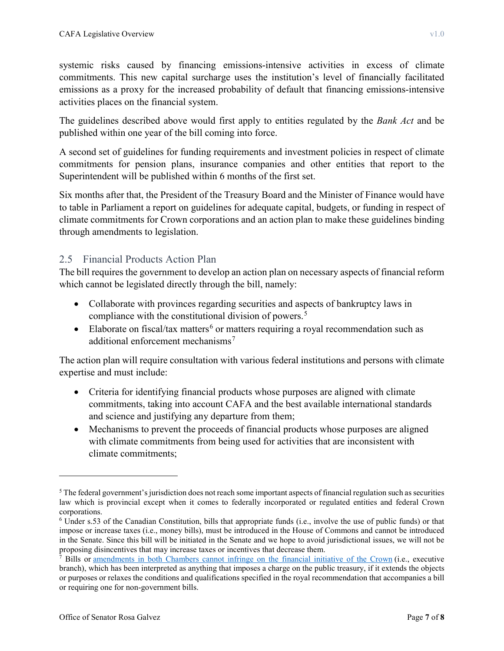systemic risks caused by financing emissions-intensive activities in excess of climate commitments. This new capital surcharge uses the institution's level of financially facilitated emissions as a proxy for the increased probability of default that financing emissions-intensive activities places on the financial system.

The guidelines described above would first apply to entities regulated by the *Bank Act* and be published within one year of the bill coming into force.

A second set of guidelines for funding requirements and investment policies in respect of climate commitments for pension plans, insurance companies and other entities that report to the Superintendent will be published within 6 months of the first set.

Six months after that, the President of the Treasury Board and the Minister of Finance would have to table in Parliament a report on guidelines for adequate capital, budgets, or funding in respect of climate commitments for Crown corporations and an action plan to make these guidelines binding through amendments to legislation.

#### <span id="page-6-0"></span>2.5 Financial Products Action Plan

The bill requires the government to develop an action plan on necessary aspects of financial reform which cannot be legislated directly through the bill, namely:

- Collaborate with provinces regarding securities and aspects of bankruptcy laws in compliance with the constitutional division of powers. [5](#page-6-1)
- Elaborate on fiscal/tax matters<sup>[6](#page-6-2)</sup> or matters requiring a royal recommendation such as additional enforcement mechanisms<sup>[7](#page-6-3)</sup>

The action plan will require consultation with various federal institutions and persons with climate expertise and must include:

- Criteria for identifying financial products whose purposes are aligned with climate commitments, taking into account CAFA and the best available international standards and science and justifying any departure from them;
- Mechanisms to prevent the proceeds of financial products whose purposes are aligned with climate commitments from being used for activities that are inconsistent with climate commitments;

 $\overline{a}$ 

<span id="page-6-1"></span><sup>&</sup>lt;sup>5</sup> The federal government's jurisdiction does not reach some important aspects of financial regulation such as securities law which is provincial except when it comes to federally incorporated or regulated entities and federal Crown corporations.

<span id="page-6-2"></span><sup>6</sup> Under s.53 of the Canadian Constitution, bills that appropriate funds (i.e., involve the use of public funds) or that impose or increase taxes (i.e., money bills), must be introduced in the House of Commons and cannot be introduced in the Senate. Since this bill will be initiated in the Senate and we hope to avoid jurisdictional issues, we will not be proposing disincentives that may increase taxes or incentives that decrease them.

<span id="page-6-3"></span><sup>7</sup> Bills or [amendments in both Chambers cannot infringe on the financial initiative of the Crown](https://www.ourcommons.ca/About/ProcedureAndPractice3rdEdition/ch_16_5-e.html#footnote-228) (i.e., executive branch), which has been interpreted as anything that imposes a charge on the public treasury, if it extends the objects or purposes or relaxes the conditions and qualifications specified in the royal recommendation that accompanies a bill or requiring one for non-government bills.